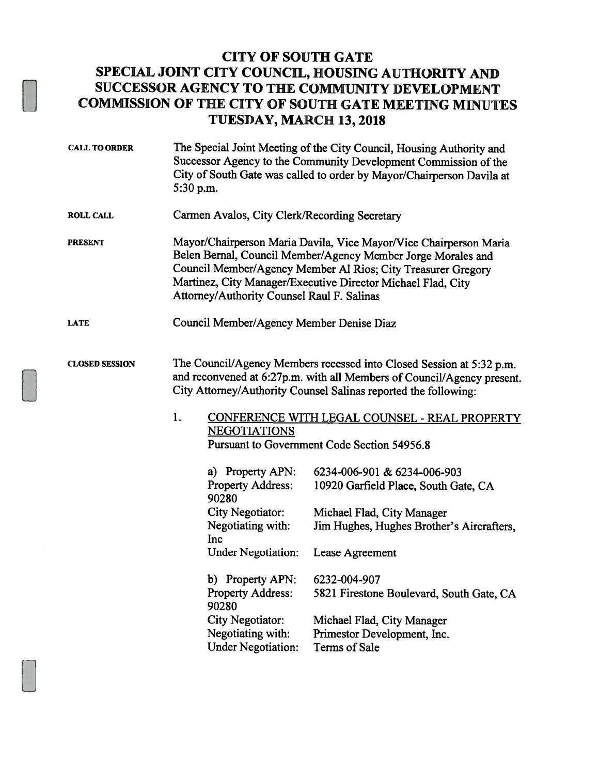## CITY OF SOUTH GATE SPECIAL JOINT CITY COUNCIL, HOUSING AUTHORITY AND SUCCESSOR AGENCY TO THE COMMUNITY DEVELOPMENT COMMISSION OF THE CITY OF SOUTH GATE MEETING MINUTES TUESDAY, MARCH 13,2018

- CALL TO ORDER The Special Joint Meeting of the City Council, Housing Authority and Successor Agency to the Community Development Commission of the City of South Gate was called to order by Mayor/Chairperson Davila at 5:30 p.m. ROLL CALL Carmen Avalos, City Clerk/Recording Secretary PRESENT Mayor/Chairperson Maria Davila, Vice Mayor/Vice Chairperson Maria
- Belen Bernal, Council Member/Agency Member Jorge Morales and Council Member/Agency Member Al Rios; City Treasurer Gregory Martinez, City Manager/Executive Director Michael Flad, City Attorney/Authority Counsel Raul F. Salinas
- LATE Council Member/Agency Member Denise Diaz

## CLOSED SESSION The Council/Agency Members recessed into Closed Session at 5:32 p.m. and reconvened at 6:27p.m. with all Members of Council/Agency present. City Attorney/Authority Counsel Salinas reported the following:

1. CONFERENCE WITH LEGAL COUNSEL - REAL PROPERTY **NEGOTIATIONS** Pursuant to Government Code Section 54956.8

| a) Property APN:                  | 6234-006-901 & 6234-006-903               |
|-----------------------------------|-------------------------------------------|
| <b>Property Address:</b><br>90280 | 10920 Garfield Place, South Gate, CA      |
| City Negotiator:                  | Michael Flad, City Manager                |
| Negotiating with:                 | Jim Hughes, Hughes Brother's Aircrafters, |
| Inc                               |                                           |
| <b>Under Negotiation:</b>         | Lease Agreement                           |
| b) Property APN:                  | 6232-004-907                              |
| <b>Property Address:</b><br>90280 | 5821 Firestone Boulevard, South Gate, CA  |
| City Negotiator:                  | Michael Flad, City Manager                |
| Negotiating with:                 | Primestor Development, Inc.               |
| <b>Under Negotiation:</b>         | Terms of Sale                             |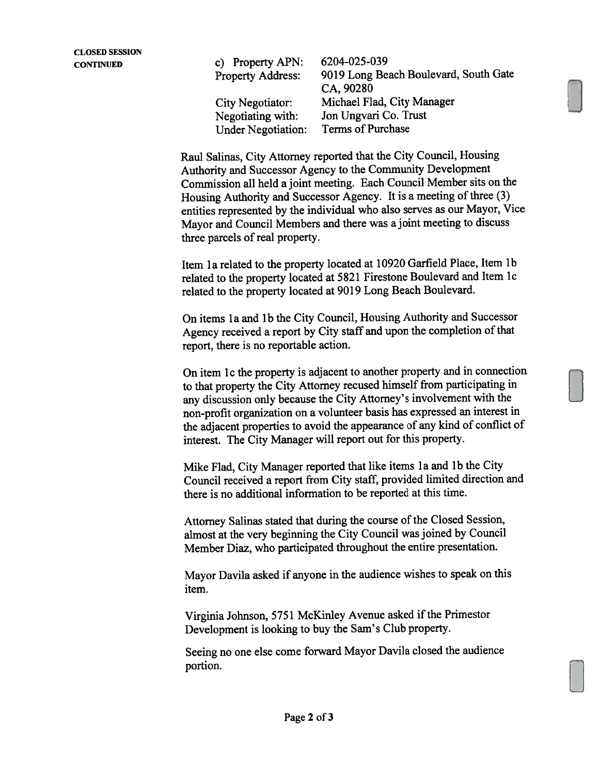CONTINUED c) Property APN: 6204-025-039 Property Address: <sup>9019</sup> Long Beach Boulevard, South Gate CA, 90280 City Negotiator: Michael Flad, City Manager Negotiating with: Jon Ungvari Co. Trust<br>Under Negotiation: Terms of Purchase Under Negotiation:

> Raul Salinas, City Attorney reported that the City Council, Housing Authority and Successor Agency to the Community Development Commission all held <sup>a</sup> joint meeting. Each Council Member sits on the Housing Authority and Successor Agency. It is <sup>a</sup> meeting of three (3) entities represented by the individual who also serves as our Mayor, Vice Mayor and Council Members and there was <sup>a</sup> joint meeting to discuss three parcels of real property.

Item 1a related to the property located at 10920 Garfield Place, Item 1b related to the property located at <sup>5821</sup> Firestone Boulevard and item ic related to the property located at <sup>9019</sup> Long Beach Boulevard.

On items 1a and 1b the City Council, Housing Authority and Successor Agency received <sup>a</sup> repor<sup>t</sup> by City staff and upon the completion of that report, there is no reportable action.

On item lc the property is adjacent to another property and in connection to that property the City Attorney recused himself from participating in any discussion only because the City Attorney's involvement with the non-profit organization on <sup>a</sup> volunteer basis has expresse<sup>d</sup> an interest in the adjacent properties to avoid the appearance of any kind of conflict of interest. The City Manager will repor<sup>t</sup> out for this property.

Mike Flad, City Manager reported that like items la and lb the City Council received <sup>a</sup> repor<sup>t</sup> from City staff, provided limited direction and there is no additional information to be reported at this time.

Attorney Salinas stated that during the course of the Closed Session, almost at the very beginning the City Council was joined by Council Member Diaz, who participated throughout the entire presentation.

Mayor Davila asked if anyone in the audience wishes to spea<sup>k</sup> on this item.

Virginia Johnson, 5751 McKinley Avenue asked if the Primestor Development is looking to buy the Sam's Club property.

Seeing no one else come forward Mayor Davila closed the audience portion.